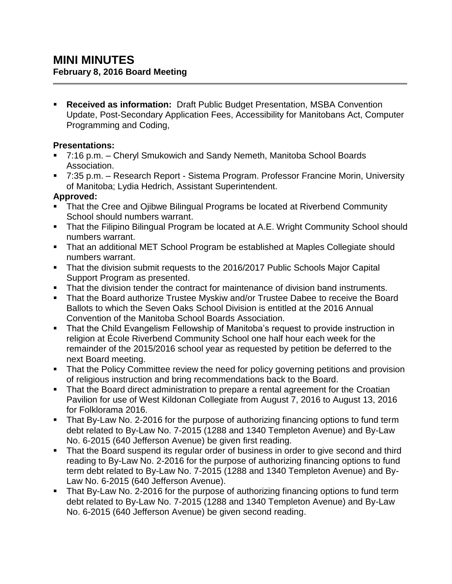**Received as information:** Draft Public Budget Presentation, MSBA Convention Update, Post-Secondary Application Fees, Accessibility for Manitobans Act, Computer Programming and Coding,

### **Presentations:**

- 7:16 p.m. Cheryl Smukowich and Sandy Nemeth, Manitoba School Boards Association.
- 7:35 p.m. Research Report Sistema Program. Professor Francine Morin, University of Manitoba; Lydia Hedrich, Assistant Superintendent.

## **Approved:**

- **That the Cree and Ojibwe Bilingual Programs be located at Riverbend Community** School should numbers warrant.
- **That the Filipino Bilingual Program be located at A.E. Wright Community School should** numbers warrant.
- That an additional MET School Program be established at Maples Collegiate should numbers warrant.
- That the division submit requests to the 2016/2017 Public Schools Major Capital Support Program as presented.
- **That the division tender the contract for maintenance of division band instruments.**
- **That the Board authorize Trustee Myskiw and/or Trustee Dabee to receive the Board** Ballots to which the Seven Oaks School Division is entitled at the 2016 Annual Convention of the Manitoba School Boards Association.
- That the Child Evangelism Fellowship of Manitoba's request to provide instruction in religion at École Riverbend Community School one half hour each week for the remainder of the 2015/2016 school year as requested by petition be deferred to the next Board meeting.
- That the Policy Committee review the need for policy governing petitions and provision of religious instruction and bring recommendations back to the Board.
- That the Board direct administration to prepare a rental agreement for the Croatian Pavilion for use of West Kildonan Collegiate from August 7, 2016 to August 13, 2016 for Folklorama 2016.
- **That By-Law No. 2-2016 for the purpose of authorizing financing options to fund term** debt related to By-Law No. 7-2015 (1288 and 1340 Templeton Avenue) and By-Law No. 6-2015 (640 Jefferson Avenue) be given first reading.
- That the Board suspend its regular order of business in order to give second and third reading to By-Law No. 2-2016 for the purpose of authorizing financing options to fund term debt related to By-Law No. 7-2015 (1288 and 1340 Templeton Avenue) and By-Law No. 6-2015 (640 Jefferson Avenue).
- That By-Law No. 2-2016 for the purpose of authorizing financing options to fund term debt related to By-Law No. 7-2015 (1288 and 1340 Templeton Avenue) and By-Law No. 6-2015 (640 Jefferson Avenue) be given second reading.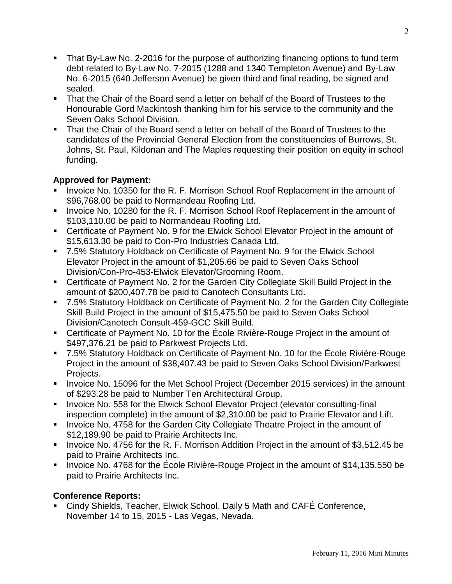- That By-Law No. 2-2016 for the purpose of authorizing financing options to fund term debt related to By-Law No. 7-2015 (1288 and 1340 Templeton Avenue) and By-Law No. 6-2015 (640 Jefferson Avenue) be given third and final reading, be signed and sealed.
- That the Chair of the Board send a letter on behalf of the Board of Trustees to the Honourable Gord Mackintosh thanking him for his service to the community and the Seven Oaks School Division.
- That the Chair of the Board send a letter on behalf of the Board of Trustees to the candidates of the Provincial General Election from the constituencies of Burrows, St. Johns, St. Paul, Kildonan and The Maples requesting their position on equity in school funding.

# **Approved for Payment:**

- Invoice No. 10350 for the R. F. Morrison School Roof Replacement in the amount of \$96,768.00 be paid to Normandeau Roofing Ltd.
- Invoice No. 10280 for the R. F. Morrison School Roof Replacement in the amount of \$103,110.00 be paid to Normandeau Roofing Ltd.
- Certificate of Payment No. 9 for the Elwick School Elevator Project in the amount of \$15,613.30 be paid to Con-Pro Industries Canada Ltd.
- 7.5% Statutory Holdback on Certificate of Payment No. 9 for the Elwick School Elevator Project in the amount of \$1,205.66 be paid to Seven Oaks School Division/Con-Pro-453-Elwick Elevator/Grooming Room.
- Certificate of Payment No. 2 for the Garden City Collegiate Skill Build Project in the amount of \$200,407.78 be paid to Canotech Consultants Ltd.
- 7.5% Statutory Holdback on Certificate of Payment No. 2 for the Garden City Collegiate Skill Build Project in the amount of \$15,475.50 be paid to Seven Oaks School Division/Canotech Consult-459-GCC Skill Build.
- Certificate of Payment No. 10 for the École Rivière-Rouge Project in the amount of \$497,376.21 be paid to Parkwest Projects Ltd.
- 7.5% Statutory Holdback on Certificate of Payment No. 10 for the École Rivière-Rouge Project in the amount of \$38,407.43 be paid to Seven Oaks School Division/Parkwest Projects.
- Invoice No. 15096 for the Met School Project (December 2015 services) in the amount of \$293.28 be paid to Number Ten Architectural Group.
- **IDED** Invoice No. 558 for the Elwick School Elevator Project (elevator consulting-final inspection complete) in the amount of \$2,310.00 be paid to Prairie Elevator and Lift.
- **IDED** Invoice No. 4758 for the Garden City Collegiate Theatre Project in the amount of \$12,189.90 be paid to Prairie Architects Inc.
- Invoice No. 4756 for the R. F. Morrison Addition Project in the amount of \$3,512.45 be paid to Prairie Architects Inc.
- Invoice No. 4768 for the École Rivière-Rouge Project in the amount of \$14,135.550 be paid to Prairie Architects Inc.

## **Conference Reports:**

■ Cindy Shields, Teacher, Elwick School. Daily 5 Math and CAFÉ Conference, November 14 to 15, 2015 - Las Vegas, Nevada.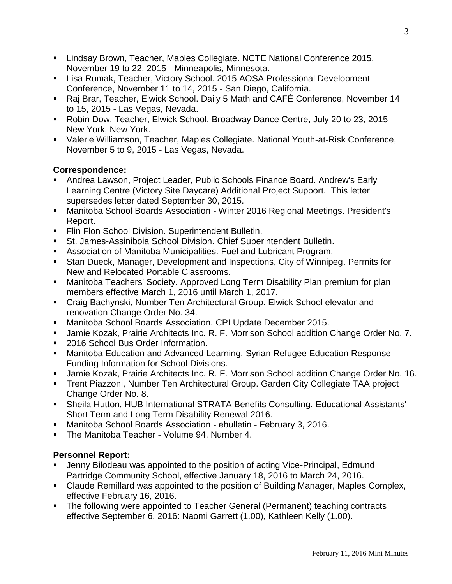- Lindsay Brown, Teacher, Maples Collegiate. NCTE National Conference 2015, November 19 to 22, 2015 - Minneapolis, Minnesota.
- Lisa Rumak, Teacher, Victory School. 2015 AOSA Professional Development Conference, November 11 to 14, 2015 - San Diego, California.
- Raj Brar, Teacher, Elwick School. Daily 5 Math and CAFÉ Conference, November 14 to 15, 2015 - Las Vegas, Nevada.
- Robin Dow, Teacher, Elwick School. Broadway Dance Centre, July 20 to 23, 2015 -New York, New York.
- Valerie Williamson, Teacher, Maples Collegiate. National Youth-at-Risk Conference, November 5 to 9, 2015 - Las Vegas, Nevada.

## **Correspondence:**

- Andrea Lawson, Project Leader, Public Schools Finance Board. Andrew's Early Learning Centre (Victory Site Daycare) Additional Project Support. This letter supersedes letter dated September 30, 2015.
- Manitoba School Boards Association Winter 2016 Regional Meetings. President's Report.
- **Fin Flon School Division. Superintendent Bulletin.**
- St. James-Assiniboia School Division. Chief Superintendent Bulletin.
- Association of Manitoba Municipalities. Fuel and Lubricant Program.
- Stan Dueck, Manager, Development and Inspections, City of Winnipeg. Permits for New and Relocated Portable Classrooms.
- Manitoba Teachers' Society. Approved Long Term Disability Plan premium for plan members effective March 1, 2016 until March 1, 2017.
- Craig Bachynski, Number Ten Architectural Group. Elwick School elevator and renovation Change Order No. 34.
- Manitoba School Boards Association. CPI Update December 2015.
- Jamie Kozak, Prairie Architects Inc. R. F. Morrison School addition Change Order No. 7.
- 2016 School Bus Order Information.
- Manitoba Education and Advanced Learning. Syrian Refugee Education Response Funding Information for School Divisions.
- Jamie Kozak, Prairie Architects Inc. R. F. Morrison School addition Change Order No. 16.
- Trent Piazzoni, Number Ten Architectural Group. Garden City Collegiate TAA project Change Order No. 8.
- Sheila Hutton, HUB International STRATA Benefits Consulting. Educational Assistants' Short Term and Long Term Disability Renewal 2016.
- Manitoba School Boards Association ebulletin February 3, 2016.
- **The Manitoba Teacher Volume 94, Number 4.**

## **Personnel Report:**

- Jenny Bilodeau was appointed to the position of acting Vice-Principal, Edmund Partridge Community School, effective January 18, 2016 to March 24, 2016.
- Claude Remillard was appointed to the position of Building Manager, Maples Complex, effective February 16, 2016.
- The following were appointed to Teacher General (Permanent) teaching contracts effective September 6, 2016: Naomi Garrett (1.00), Kathleen Kelly (1.00).